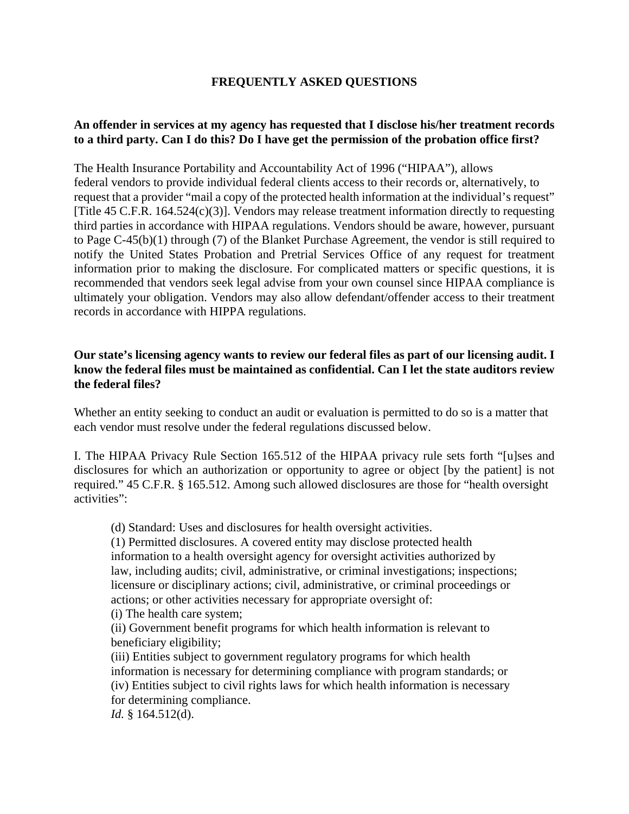## **FREQUENTLY ASKED QUESTIONS**

### **An offender in services at my agency has requested that I disclose his/her treatment records to a third party. Can I do this? Do I have get the permission of the probation office first?**

The Health Insurance Portability and Accountability Act of 1996 ("HIPAA"), allows federal vendors to provide individual federal clients access to their records or, alternatively, to request that a provider "mail a copy of the protected health information at the individual's request" [Title 45 C.F.R. 164.524(c)(3)]. Vendors may release treatment information directly to requesting third parties in accordance with HIPAA regulations. Vendors should be aware, however, pursuant to Page C-45(b)(1) through (7) of the Blanket Purchase Agreement, the vendor is still required to notify the United States Probation and Pretrial Services Office of any request for treatment information prior to making the disclosure. For complicated matters or specific questions, it is recommended that vendors seek legal advise from your own counsel since HIPAA compliance is ultimately your obligation. Vendors may also allow defendant/offender access to their treatment records in accordance with HIPPA regulations.

#### **Our state's licensing agency wants to review our federal files as part of our licensing audit. I know the federal files must be maintained as confidential. Can I let the state auditors review the federal files?**

Whether an entity seeking to conduct an audit or evaluation is permitted to do so is a matter that each vendor must resolve under the federal regulations discussed below.

I. The HIPAA Privacy Rule Section 165.512 of the HIPAA privacy rule sets forth "[u]ses and disclosures for which an authorization or opportunity to agree or object [by the patient] is not required." 45 C.F.R. § 165.512. Among such allowed disclosures are those for "health oversight activities":

(d) Standard: Uses and disclosures for health oversight activities.

(1) Permitted disclosures. A covered entity may disclose protected health information to a health oversight agency for oversight activities authorized by law, including audits; civil, administrative, or criminal investigations; inspections; licensure or disciplinary actions; civil, administrative, or criminal proceedings or actions; or other activities necessary for appropriate oversight of:

(i) The health care system;

(ii) Government benefit programs for which health information is relevant to beneficiary eligibility;

(iii) Entities subject to government regulatory programs for which health information is necessary for determining compliance with program standards; or (iv) Entities subject to civil rights laws for which health information is necessary for determining compliance.

*Id.* § 164.512(d).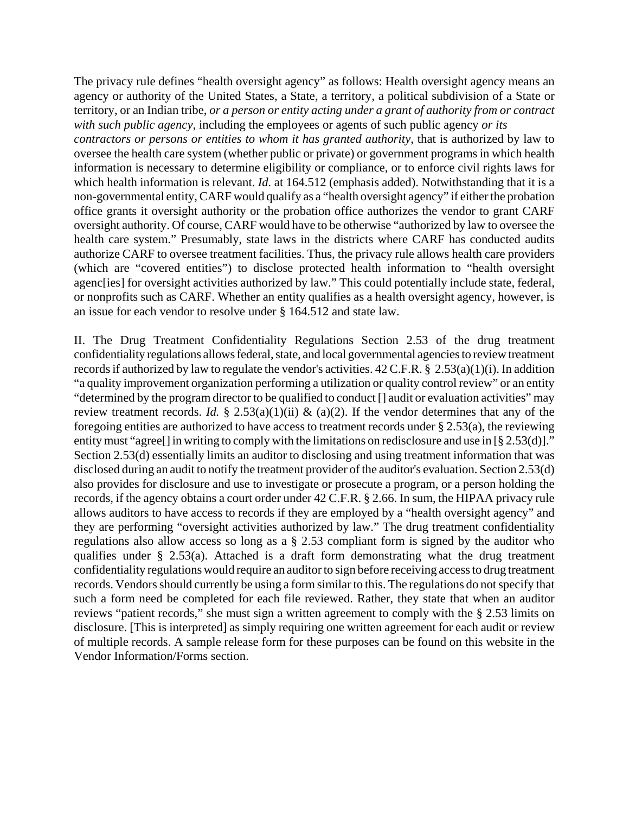The privacy rule defines "health oversight agency" as follows: Health oversight agency means an agency or authority of the United States, a State, a territory, a political subdivision of a State or territory, or an Indian tribe, *or a person or entity acting under a grant of authority from or contract with such public agency,* including the employees or agents of such public agency *or its*

*contractors or persons or entities to whom it has granted authority*, that is authorized by law to oversee the health care system (whether public or private) or government programs in which health information is necessary to determine eligibility or compliance, or to enforce civil rights laws for which health information is relevant. *Id.* at 164.512 (emphasis added). Notwithstanding that it is a non-governmental entity, CARF would qualify as a "health oversight agency" if either the probation office grants it oversight authority or the probation office authorizes the vendor to grant CARF oversight authority. Of course, CARF would have to be otherwise "authorized by law to oversee the health care system." Presumably, state laws in the districts where CARF has conducted audits authorize CARF to oversee treatment facilities. Thus, the privacy rule allows health care providers (which are "covered entities") to disclose protected health information to "health oversight agenc[ies] for oversight activities authorized by law." This could potentially include state, federal, or nonprofits such as CARF. Whether an entity qualifies as a health oversight agency, however, is an issue for each vendor to resolve under § 164.512 and state law.

II. The Drug Treatment Confidentiality Regulations Section 2.53 of the drug treatment confidentiality regulations allows federal, state, and local governmental agencies to review treatment records if authorized by law to regulate the vendor's activities. 42 C.F.R. § 2.53(a)(1)(i). In addition "a quality improvement organization performing a utilization or quality control review" or an entity "determined by the program director to be qualified to conduct [] audit or evaluation activities" may review treatment records. *Id.* § 2.53(a)(1)(ii) & (a)(2). If the vendor determines that any of the foregoing entities are authorized to have access to treatment records under § 2.53(a), the reviewing entity must "agree<sup>[]</sup> in writing to comply with the limitations on redisclosure and use in [§ 2.53(d)]." Section 2.53(d) essentially limits an auditor to disclosing and using treatment information that was disclosed during an audit to notify the treatment provider of the auditor's evaluation. Section 2.53(d) also provides for disclosure and use to investigate or prosecute a program, or a person holding the records, if the agency obtains a court order under 42 C.F.R. § 2.66. In sum, the HIPAA privacy rule allows auditors to have access to records if they are employed by a "health oversight agency" and they are performing "oversight activities authorized by law." The drug treatment confidentiality regulations also allow access so long as a § 2.53 compliant form is signed by the auditor who qualifies under § 2.53(a). Attached is a draft form demonstrating what the drug treatment confidentiality regulations would require an auditor to sign before receiving access to drug treatment records. Vendors should currently be using a form similar to this. The regulations do not specify that such a form need be completed for each file reviewed. Rather, they state that when an auditor reviews "patient records," she must sign a written agreement to comply with the § 2.53 limits on disclosure. [This is interpreted] as simply requiring one written agreement for each audit or review of multiple records. A sample release form for these purposes can be found on this website in the Vendor Information/Forms section.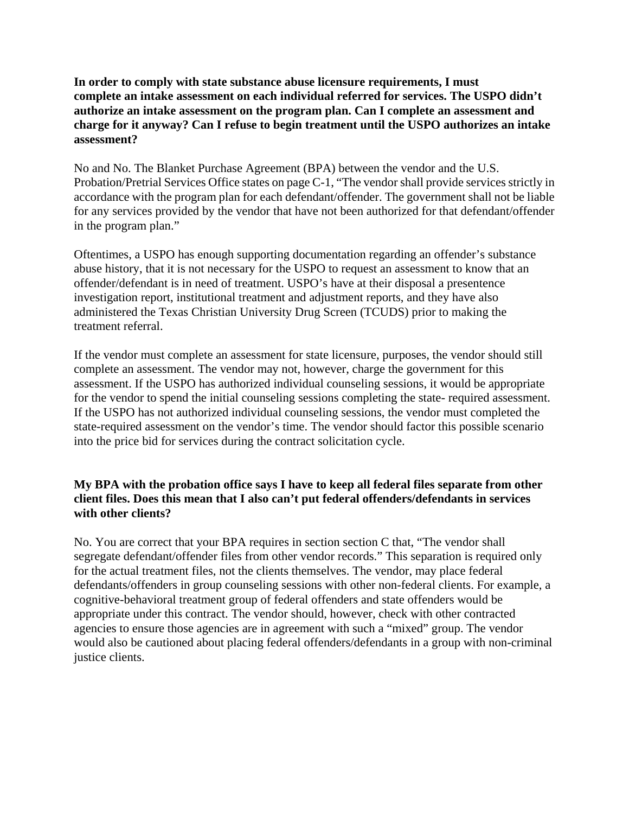**In order to comply with state substance abuse licensure requirements, I must complete an intake assessment on each individual referred for services. The USPO didn't authorize an intake assessment on the program plan. Can I complete an assessment and charge for it anyway? Can I refuse to begin treatment until the USPO authorizes an intake assessment?**

No and No. The Blanket Purchase Agreement (BPA) between the vendor and the U.S. Probation/Pretrial Services Office states on page C-1, "The vendor shall provide services strictly in accordance with the program plan for each defendant/offender. The government shall not be liable for any services provided by the vendor that have not been authorized for that defendant/offender in the program plan."

Oftentimes, a USPO has enough supporting documentation regarding an offender's substance abuse history, that it is not necessary for the USPO to request an assessment to know that an offender/defendant is in need of treatment. USPO's have at their disposal a presentence investigation report, institutional treatment and adjustment reports, and they have also administered the Texas Christian University Drug Screen (TCUDS) prior to making the treatment referral.

If the vendor must complete an assessment for state licensure, purposes, the vendor should still complete an assessment. The vendor may not, however, charge the government for this assessment. If the USPO has authorized individual counseling sessions, it would be appropriate for the vendor to spend the initial counseling sessions completing the state- required assessment. If the USPO has not authorized individual counseling sessions, the vendor must completed the state-required assessment on the vendor's time. The vendor should factor this possible scenario into the price bid for services during the contract solicitation cycle.

# **My BPA with the probation office says I have to keep all federal files separate from other client files. Does this mean that I also can't put federal offenders/defendants in services with other clients?**

No. You are correct that your BPA requires in section section C that, "The vendor shall segregate defendant/offender files from other vendor records." This separation is required only for the actual treatment files, not the clients themselves. The vendor, may place federal defendants/offenders in group counseling sessions with other non-federal clients. For example, a cognitive-behavioral treatment group of federal offenders and state offenders would be appropriate under this contract. The vendor should, however, check with other contracted agencies to ensure those agencies are in agreement with such a "mixed" group. The vendor would also be cautioned about placing federal offenders/defendants in a group with non-criminal justice clients.